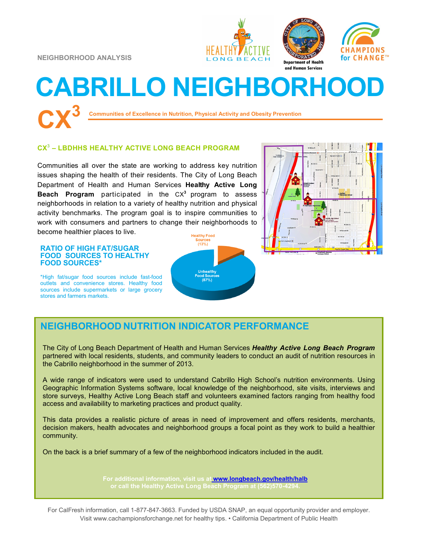**NEIGHBORHOOD ANALYSIS**







# **CABRILLO NEIGHBORHOOD CX<sup>3</sup>**

**Communities of Excellence in Nutrition, Physical Activity and Obesity Prevention**

#### **CX 3 – LBDHHS HEALTHY ACTIVE LONG BEACH PROGRAM**

Communities all over the state are working to address key nutrition issues shaping the health of their residents. The City of Long Beach Department of Health and Human Services **Healthy Active Long Beach Program** participated in the CX**<sup>3</sup>** program to assess neighborhoods in relation to a variety of healthy nutrition and physical activity benchmarks. The program goal is to inspire communities to work with consumers and partners to change their neighborhoods to become healthier places to live.

**RATIO OF HIGH FAT/SUGAR FOOD SOURCES TO HEALTHY FOOD SOURCES\***

\*High fat/sugar food sources include fast-food outlets and convenience stores. Healthy food sources include supermarkets or large grocery stores and farmers markets.





## **NEIGHBORHOOD NUTRITION INDICATOR PERFORMANCE**

The City of Long Beach Department of Health and Human Services *Healthy Active Long Beach Program*  partnered with local residents, students, and community leaders to conduct an audit of nutrition resources in the Cabrillo neighborhood in the summer of 2013.

A wide range of indicators were used to understand Cabrillo High School's nutrition environments. Using Geographic Information Systems software, local knowledge of the neighborhood, site visits, interviews and store surveys, Healthy Active Long Beach staff and volunteers examined factors ranging from healthy food access and availability to marketing practices and product quality.

This data provides a realistic picture of areas in need of improvement and offers residents, merchants, decision makers, health advocates and neighborhood groups a focal point as they work to build a healthier community.

On the back is a brief summary of a few of the neighborhood indicators included in the audit.

**For additional information, visit us at [www.longbeach.gov/health/halb](http://%20www.longbeach.gov/health%20)**

For CalFresh information, call 1-877-847-3663. Funded by USDA SNAP, an equal opportunity provider and employer. Visit www.cachampionsforchange.net for healthy tips. • California Department of Public Health